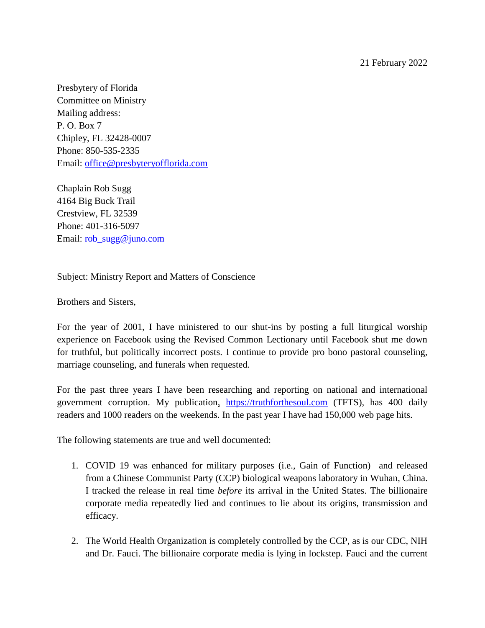21 February 2022

Presbytery of Florida Committee on Ministry Mailing address: P. O. Box 7 Chipley, FL 32428-0007 Phone: 850-535-2335 Email: [office@presbyteryofflorida.com](mailto:office@presbyteryofflorida.com)

Chaplain Rob Sugg 4164 Big Buck Trail Crestview, FL 32539 Phone: 401-316-5097 Email: <u>rob\_sugg@juno.com</u>

Subject: Ministry Report and Matters of Conscience

Brothers and Sisters,

For the year of 2001, I have ministered to our shut-ins by posting a full liturgical worship experience on Facebook using the Revised Common Lectionary until Facebook shut me down for truthful, but politically incorrect posts. I continue to provide pro bono pastoral counseling, marriage counseling, and funerals when requested.

For the past three years I have been researching and reporting on national and international government corruption. My publication, [https://truthforthesoul.com](https://truthforthesoul.com/) (TFTS), has 400 daily readers and 1000 readers on the weekends. In the past year I have had 150,000 web page hits.

The following statements are true and well documented:

- 1. COVID 19 was enhanced for military purposes (i.e., Gain of Function) and released from a Chinese Communist Party (CCP) biological weapons laboratory in Wuhan, China. I tracked the release in real time *before* its arrival in the United States. The billionaire corporate media repeatedly lied and continues to lie about its origins, transmission and efficacy.
- 2. The World Health Organization is completely controlled by the CCP, as is our CDC, NIH and Dr. Fauci. The billionaire corporate media is lying in lockstep. Fauci and the current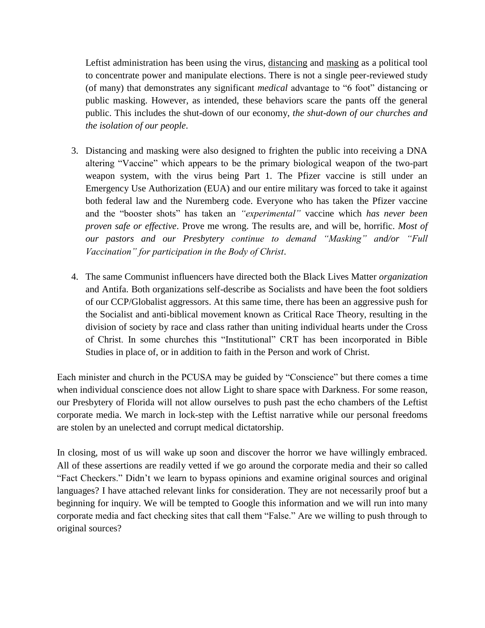Leftist administration has been using the virus, distancing and masking as a political tool to concentrate power and manipulate elections. There is not a single peer-reviewed study (of many) that demonstrates any significant *medical* advantage to "6 foot" distancing or public masking. However, as intended, these behaviors scare the pants off the general public. This includes the shut-down of our economy, *the shut-down of our churches and the isolation of our people*.

- 3. Distancing and masking were also designed to frighten the public into receiving a DNA altering "Vaccine" which appears to be the primary biological weapon of the two-part weapon system, with the virus being Part 1. The Pfizer vaccine is still under an Emergency Use Authorization (EUA) and our entire military was forced to take it against both federal law and the Nuremberg code. Everyone who has taken the Pfizer vaccine and the "booster shots" has taken an *"experimental"* vaccine which *has never been proven safe or effective*. Prove me wrong. The results are, and will be, horrific. *Most of our pastors and our Presbytery continue to demand "Masking" and/or "Full Vaccination" for participation in the Body of Christ*.
- 4. The same Communist influencers have directed both the Black Lives Matter *organization* and Antifa. Both organizations self-describe as Socialists and have been the foot soldiers of our CCP/Globalist aggressors. At this same time, there has been an aggressive push for the Socialist and anti-biblical movement known as Critical Race Theory, resulting in the division of society by race and class rather than uniting individual hearts under the Cross of Christ. In some churches this "Institutional" CRT has been incorporated in Bible Studies in place of, or in addition to faith in the Person and work of Christ.

Each minister and church in the PCUSA may be guided by "Conscience" but there comes a time when individual conscience does not allow Light to share space with Darkness. For some reason, our Presbytery of Florida will not allow ourselves to push past the echo chambers of the Leftist corporate media. We march in lock-step with the Leftist narrative while our personal freedoms are stolen by an unelected and corrupt medical dictatorship.

In closing, most of us will wake up soon and discover the horror we have willingly embraced. All of these assertions are readily vetted if we go around the corporate media and their so called "Fact Checkers." Didn't we learn to bypass opinions and examine original sources and original languages? I have attached relevant links for consideration. They are not necessarily proof but a beginning for inquiry. We will be tempted to Google this information and we will run into many corporate media and fact checking sites that call them "False." Are we willing to push through to original sources?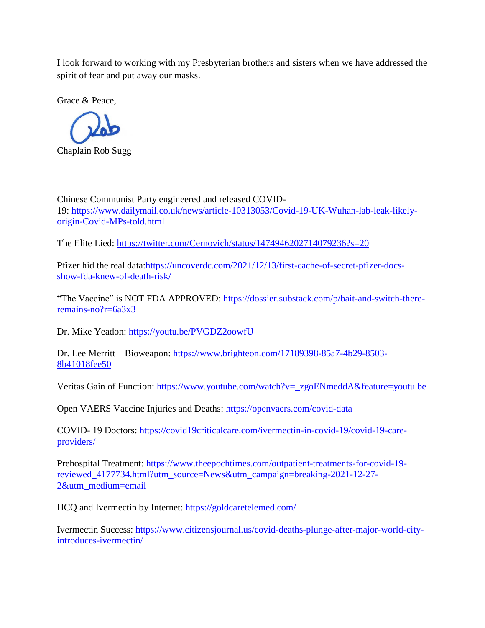I look forward to working with my Presbyterian brothers and sisters when we have addressed the spirit of fear and put away our masks.

Grace & Peace,



Chinese Communist Party engineered and released COVID-19: [https://www.dailymail.co.uk/news/article-10313053/Covid-19-UK-Wuhan-lab-leak-likely](https://www.dailymail.co.uk/news/article-10313053/Covid-19-UK-Wuhan-lab-leak-likely-origin-Covid-MPs-told.html)[origin-Covid-MPs-told.html](https://www.dailymail.co.uk/news/article-10313053/Covid-19-UK-Wuhan-lab-leak-likely-origin-Covid-MPs-told.html)

The Elite Lied: <https://twitter.com/Cernovich/status/1474946202714079236?s=20>

Pfizer hid the real data[:https://uncoverdc.com/2021/12/13/first-cache-of-secret-pfizer-docs](https://uncoverdc.com/2021/12/13/first-cache-of-secret-pfizer-docs-show-fda-knew-of-death-risk/)[show-fda-knew-of-death-risk/](https://uncoverdc.com/2021/12/13/first-cache-of-secret-pfizer-docs-show-fda-knew-of-death-risk/)

"The Vaccine" is NOT FDA APPROVED: [https://dossier.substack.com/p/bait-and-switch-there](https://dossier.substack.com/p/bait-and-switch-there-remains-no?r=6a3x3)[remains-no?r=6a3x3](https://dossier.substack.com/p/bait-and-switch-there-remains-no?r=6a3x3)

Dr. Mike Yeadon: <https://youtu.be/PVGDZ2oowfU>

Dr. Lee Merritt – Bioweapon: [https://www.brighteon.com/17189398-85a7-4b29-8503-](https://www.brighteon.com/17189398-85a7-4b29-8503-8b41018fee50) [8b41018fee50](https://www.brighteon.com/17189398-85a7-4b29-8503-8b41018fee50)

Veritas Gain of Function: [https://www.youtube.com/watch?v=\\_zgoENmeddA&feature=youtu.be](https://www.youtube.com/watch?v=_zgoENmeddA&feature=youtu.be)

Open VAERS Vaccine Injuries and Deaths: <https://openvaers.com/covid-data>

COVID- 19 Doctors: [https://covid19criticalcare.com/ivermectin-in-covid-19/covid-19-care](https://covid19criticalcare.com/ivermectin-in-covid-19/covid-19-care-providers/)[providers/](https://covid19criticalcare.com/ivermectin-in-covid-19/covid-19-care-providers/)

Prehospital Treatment: [https://www.theepochtimes.com/outpatient-treatments-for-covid-19](https://www.theepochtimes.com/outpatient-treatments-for-covid-19-reviewed_4177734.html?utm_source=News&utm_campaign=breaking-2021-12-27-2&utm_medium=email) [reviewed\\_4177734.html?utm\\_source=News&utm\\_campaign=breaking-2021-12-27-](https://www.theepochtimes.com/outpatient-treatments-for-covid-19-reviewed_4177734.html?utm_source=News&utm_campaign=breaking-2021-12-27-2&utm_medium=email) [2&utm\\_medium=email](https://www.theepochtimes.com/outpatient-treatments-for-covid-19-reviewed_4177734.html?utm_source=News&utm_campaign=breaking-2021-12-27-2&utm_medium=email)

HCQ and Ivermectin by Internet: <https://goldcaretelemed.com/>

Ivermectin Success: [https://www.citizensjournal.us/covid-deaths-plunge-after-major-world-city](https://www.citizensjournal.us/covid-deaths-plunge-after-major-world-city-introduces-ivermectin/)[introduces-ivermectin/](https://www.citizensjournal.us/covid-deaths-plunge-after-major-world-city-introduces-ivermectin/)